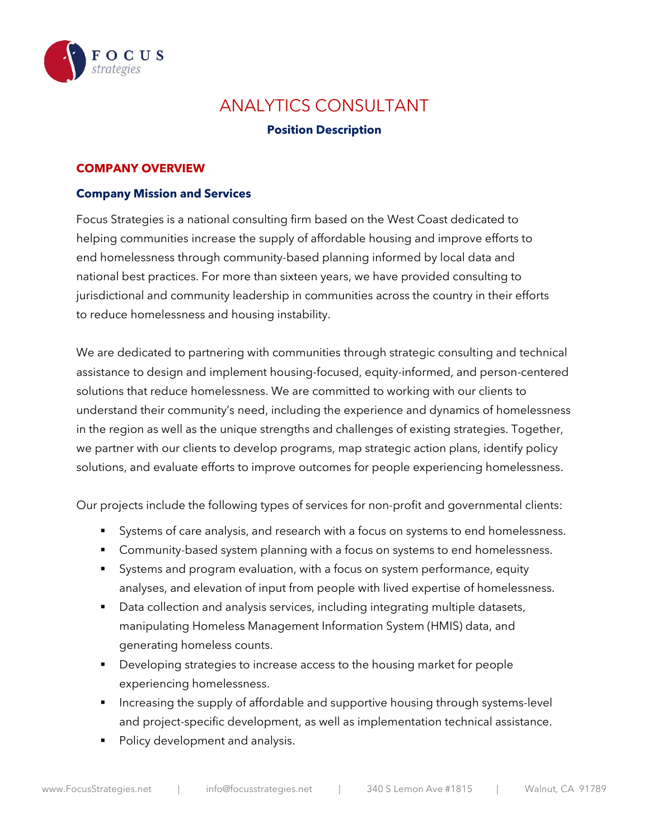

# ANALYTICS CONSULTANT

## **Position Description**

#### **COMPANY OVERVIEW**

#### **Company Mission and Services**

Focus Strategies is a national consulting firm based on the West Coast dedicated to helping communities increase the supply of affordable housing and improve efforts to end homelessness through community-based planning informed by local data and national best practices. For more than sixteen years, we have provided consulting to jurisdictional and community leadership in communities across the country in their efforts to reduce homelessness and housing instability.

We are dedicated to partnering with communities through strategic consulting and technical assistance to design and implement housing-focused, equity-informed, and person-centered solutions that reduce homelessness. We are committed to working with our clients to understand their community's need, including the experience and dynamics of homelessness in the region as well as the unique strengths and challenges of existing strategies. Together, we partner with our clients to develop programs, map strategic action plans, identify policy solutions, and evaluate efforts to improve outcomes for people experiencing homelessness.

Our projects include the following types of services for non-profit and governmental clients:

- Systems of care analysis, and research with a focus on systems to end homelessness.
- **Community-based system planning with a focus on systems to end homelessness.**
- Systems and program evaluation, with a focus on system performance, equity analyses, and elevation of input from people with lived expertise of homelessness.
- Data collection and analysis services, including integrating multiple datasets, manipulating Homeless Management Information System (HMIS) data, and generating homeless counts.
- Developing strategies to increase access to the housing market for people experiencing homelessness.
- Increasing the supply of affordable and supportive housing through systems-level and project-specific development, as well as implementation technical assistance.
- Policy development and analysis.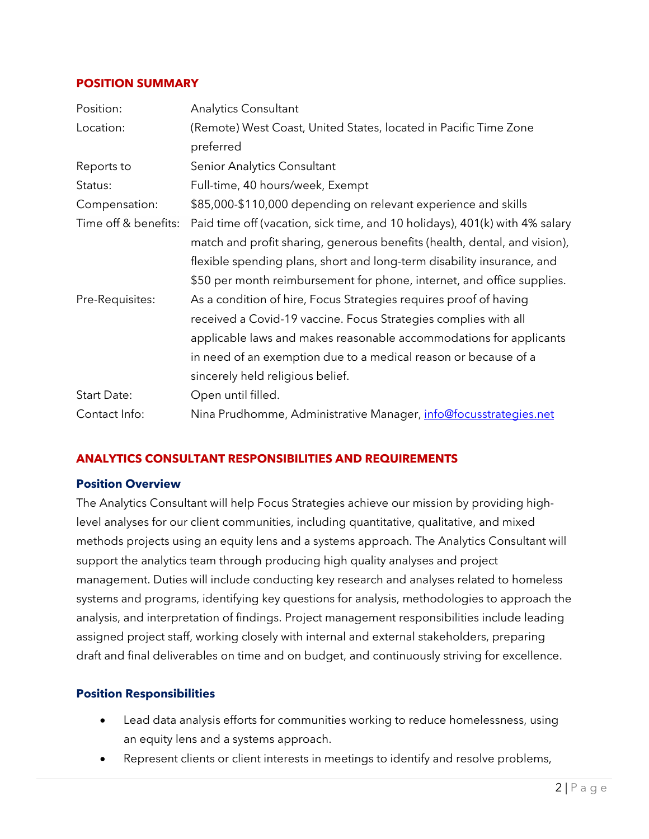#### **POSITION SUMMARY**

| Position:            | <b>Analytics Consultant</b>                                                 |
|----------------------|-----------------------------------------------------------------------------|
| Location:            | (Remote) West Coast, United States, located in Pacific Time Zone            |
|                      | preferred                                                                   |
| Reports to           | Senior Analytics Consultant                                                 |
| Status:              | Full-time, 40 hours/week, Exempt                                            |
| Compensation:        | \$85,000-\$110,000 depending on relevant experience and skills              |
| Time off & benefits: | Paid time off (vacation, sick time, and 10 holidays), 401(k) with 4% salary |
|                      | match and profit sharing, generous benefits (health, dental, and vision),   |
|                      | flexible spending plans, short and long-term disability insurance, and      |
|                      | \$50 per month reimbursement for phone, internet, and office supplies.      |
| Pre-Requisites:      | As a condition of hire, Focus Strategies requires proof of having           |
|                      | received a Covid-19 vaccine. Focus Strategies complies with all             |
|                      | applicable laws and makes reasonable accommodations for applicants          |
|                      | in need of an exemption due to a medical reason or because of a             |
|                      | sincerely held religious belief.                                            |
| Start Date:          | Open until filled.                                                          |
| Contact Info:        | Nina Prudhomme, Administrative Manager, <i>info@focusstrategies.net</i>     |

## **ANALYTICS CONSULTANT RESPONSIBILITIES AND REQUIREMENTS**

#### **Position Overview**

The Analytics Consultant will help Focus Strategies achieve our mission by providing highlevel analyses for our client communities, including quantitative, qualitative, and mixed methods projects using an equity lens and a systems approach. The Analytics Consultant will support the analytics team through producing high quality analyses and project management. Duties will include conducting key research and analyses related to homeless systems and programs, identifying key questions for analysis, methodologies to approach the analysis, and interpretation of findings. Project management responsibilities include leading assigned project staff, working closely with internal and external stakeholders, preparing draft and final deliverables on time and on budget, and continuously striving for excellence.

#### **Position Responsibilities**

- Lead data analysis efforts for communities working to reduce homelessness, using an equity lens and a systems approach.
- Represent clients or client interests in meetings to identify and resolve problems,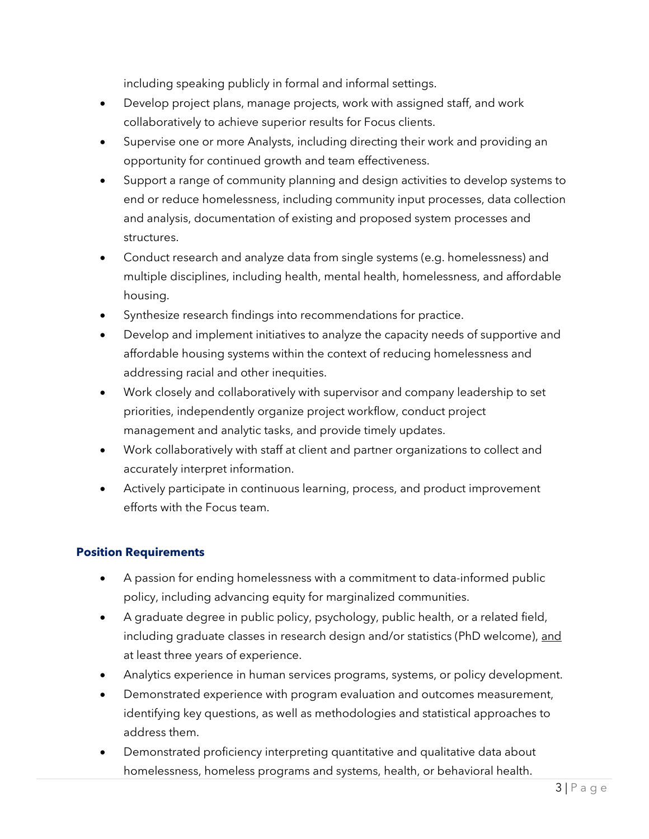including speaking publicly in formal and informal settings.

- Develop project plans, manage projects, work with assigned staff, and work collaboratively to achieve superior results for Focus clients.
- Supervise one or more Analysts, including directing their work and providing an opportunity for continued growth and team effectiveness.
- Support a range of community planning and design activities to develop systems to end or reduce homelessness, including community input processes, data collection and analysis, documentation of existing and proposed system processes and structures.
- Conduct research and analyze data from single systems (e.g. homelessness) and multiple disciplines, including health, mental health, homelessness, and affordable housing.
- Synthesize research findings into recommendations for practice.
- Develop and implement initiatives to analyze the capacity needs of supportive and affordable housing systems within the context of reducing homelessness and addressing racial and other inequities.
- Work closely and collaboratively with supervisor and company leadership to set priorities, independently organize project workflow, conduct project management and analytic tasks, and provide timely updates.
- Work collaboratively with staff at client and partner organizations to collect and accurately interpret information.
- Actively participate in continuous learning, process, and product improvement efforts with the Focus team.

# **Position Requirements**

- A passion for ending homelessness with a commitment to data-informed public policy, including advancing equity for marginalized communities.
- A graduate degree in public policy, psychology, public health, or a related field, including graduate classes in research design and/or statistics (PhD welcome), and at least three years of experience.
- Analytics experience in human services programs, systems, or policy development.
- Demonstrated experience with program evaluation and outcomes measurement, identifying key questions, as well as methodologies and statistical approaches to address them.
- Demonstrated proficiency interpreting quantitative and qualitative data about homelessness, homeless programs and systems, health, or behavioral health.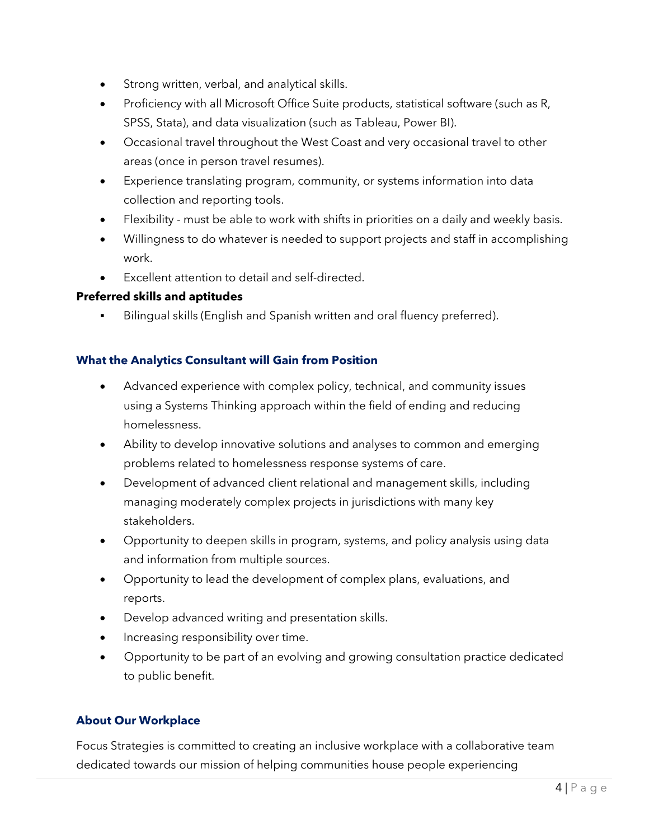- Strong written, verbal, and analytical skills.
- Proficiency with all Microsoft Office Suite products, statistical software (such as R, SPSS, Stata), and data visualization (such as Tableau, Power BI).
- Occasional travel throughout the West Coast and very occasional travel to other areas (once in person travel resumes).
- Experience translating program, community, or systems information into data collection and reporting tools.
- Flexibility must be able to work with shifts in priorities on a daily and weekly basis.
- Willingness to do whatever is needed to support projects and staff in accomplishing work.
- Excellent attention to detail and self-directed.

## **Preferred skills and aptitudes**

Bilingual skills (English and Spanish written and oral fluency preferred).

## **What the Analytics Consultant will Gain from Position**

- Advanced experience with complex policy, technical, and community issues using a Systems Thinking approach within the field of ending and reducing homelessness.
- Ability to develop innovative solutions and analyses to common and emerging problems related to homelessness response systems of care.
- Development of advanced client relational and management skills, including managing moderately complex projects in jurisdictions with many key stakeholders.
- Opportunity to deepen skills in program, systems, and policy analysis using data and information from multiple sources.
- Opportunity to lead the development of complex plans, evaluations, and reports.
- Develop advanced writing and presentation skills.
- Increasing responsibility over time.
- Opportunity to be part of an evolving and growing consultation practice dedicated to public benefit.

# **About Our Workplace**

Focus Strategies is committed to creating an inclusive workplace with a collaborative team dedicated towards our mission of helping communities house people experiencing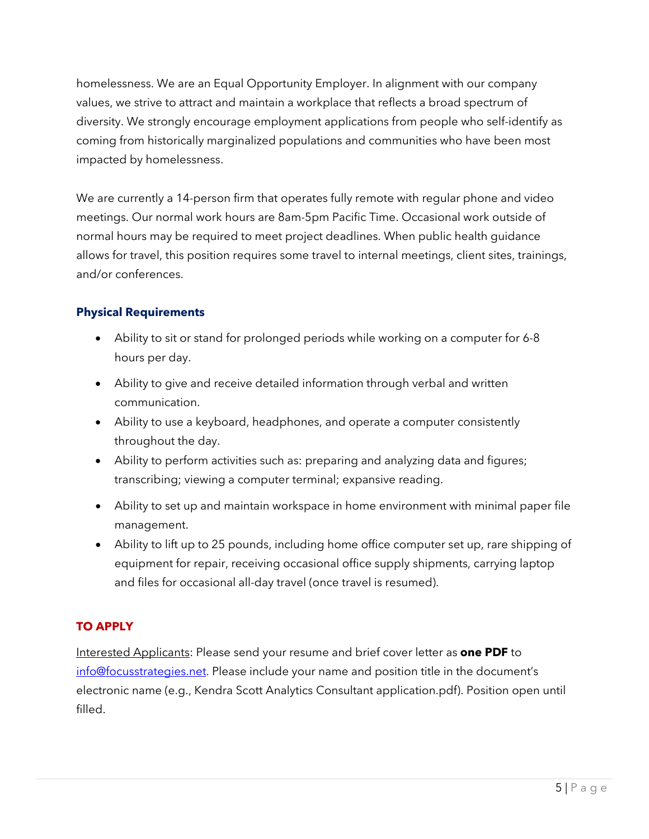homelessness. We are an Equal Opportunity Employer. In alignment with our company values, we strive to attract and maintain a workplace that reflects a broad spectrum of diversity. We strongly encourage employment applications from people who self-identify as coming from historically marginalized populations and communities who have been most impacted by homelessness.

We are currently a 14-person firm that operates fully remote with regular phone and video meetings. Our normal work hours are 8am-5pm Pacific Time. Occasional work outside of normal hours may be required to meet project deadlines. When public health guidance allows for travel, this position requires some travel to internal meetings, client sites, trainings, and/or conferences.

# **Physical Requirements**

- Ability to sit or stand for prolonged periods while working on a computer for 6-8 hours per day.
- Ability to give and receive detailed information through verbal and written communication.
- Ability to use a keyboard, headphones, and operate a computer consistently throughout the day.
- Ability to perform activities such as: preparing and analyzing data and figures; transcribing; viewing a computer terminal; expansive reading.
- Ability to set up and maintain workspace in home environment with minimal paper file management.
- Ability to lift up to 25 pounds, including home office computer set up, rare shipping of equipment for repair, receiving occasional office supply shipments, carrying laptop and files for occasional all-day travel (once travel is resumed).

# **TO APPLY**

Interested Applicants: Please send your resume and brief cover letter as **one PDF** to info@focusstrategies.net. Please include your name and position title in the document's electronic name (e.g., Kendra Scott Analytics Consultant application.pdf). Position open until filled.